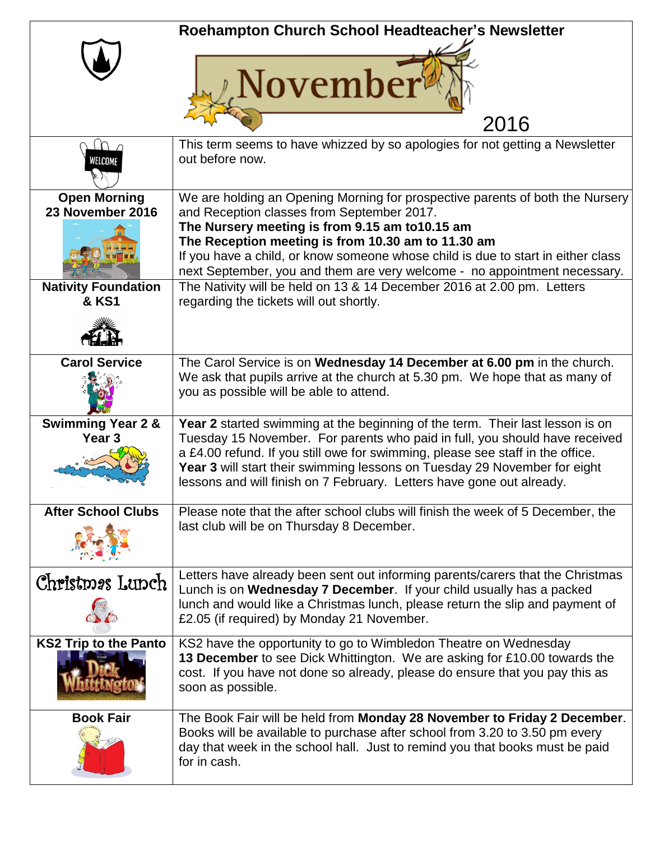|                                         | Roehampton Church School Headteacher's Newsletter                                                                                                                                                                                                                                                                   |
|-----------------------------------------|---------------------------------------------------------------------------------------------------------------------------------------------------------------------------------------------------------------------------------------------------------------------------------------------------------------------|
|                                         | <b>November</b><br>2016                                                                                                                                                                                                                                                                                             |
|                                         | This term seems to have whizzed by so apologies for not getting a Newsletter                                                                                                                                                                                                                                        |
|                                         | out before now.                                                                                                                                                                                                                                                                                                     |
| <b>Open Morning</b><br>23 November 2016 | We are holding an Opening Morning for prospective parents of both the Nursery<br>and Reception classes from September 2017.                                                                                                                                                                                         |
|                                         | The Nursery meeting is from 9.15 am to10.15 am                                                                                                                                                                                                                                                                      |
|                                         | The Reception meeting is from 10.30 am to 11.30 am                                                                                                                                                                                                                                                                  |
|                                         | If you have a child, or know someone whose child is due to start in either class<br>next September, you and them are very welcome - no appointment necessary.                                                                                                                                                       |
| <b>Nativity Foundation</b>              | The Nativity will be held on 13 & 14 December 2016 at 2.00 pm. Letters                                                                                                                                                                                                                                              |
| <b>&amp; KS1</b>                        | regarding the tickets will out shortly.                                                                                                                                                                                                                                                                             |
|                                         |                                                                                                                                                                                                                                                                                                                     |
| <b>Carol Service</b>                    | The Carol Service is on Wednesday 14 December at 6.00 pm in the church.                                                                                                                                                                                                                                             |
|                                         | We ask that pupils arrive at the church at 5.30 pm. We hope that as many of<br>you as possible will be able to attend.                                                                                                                                                                                              |
| <b>Swimming Year 2 &amp;</b>            | Year 2 started swimming at the beginning of the term. Their last lesson is on                                                                                                                                                                                                                                       |
| Year <sub>3</sub>                       | Tuesday 15 November. For parents who paid in full, you should have received<br>a £4.00 refund. If you still owe for swimming, please see staff in the office.<br>Year 3 will start their swimming lessons on Tuesday 29 November for eight<br>lessons and will finish on 7 February. Letters have gone out already. |
| <b>After School Clubs</b>               | Please note that the after school clubs will finish the week of 5 December, the                                                                                                                                                                                                                                     |
|                                         | last club will be on Thursday 8 December.                                                                                                                                                                                                                                                                           |
| Christmas Lunch                         | Letters have already been sent out informing parents/carers that the Christmas                                                                                                                                                                                                                                      |
|                                         | Lunch is on Wednesday 7 December. If your child usually has a packed<br>lunch and would like a Christmas lunch, please return the slip and payment of<br>£2.05 (if required) by Monday 21 November.                                                                                                                 |
|                                         |                                                                                                                                                                                                                                                                                                                     |
| <b>KS2 Trip to the Panto</b>            | KS2 have the opportunity to go to Wimbledon Theatre on Wednesday<br>13 December to see Dick Whittington. We are asking for £10.00 towards the<br>cost. If you have not done so already, please do ensure that you pay this as<br>soon as possible.                                                                  |
| <b>Book Fair</b>                        | The Book Fair will be held from Monday 28 November to Friday 2 December.                                                                                                                                                                                                                                            |
|                                         | Books will be available to purchase after school from 3.20 to 3.50 pm every<br>day that week in the school hall. Just to remind you that books must be paid<br>for in cash.                                                                                                                                         |